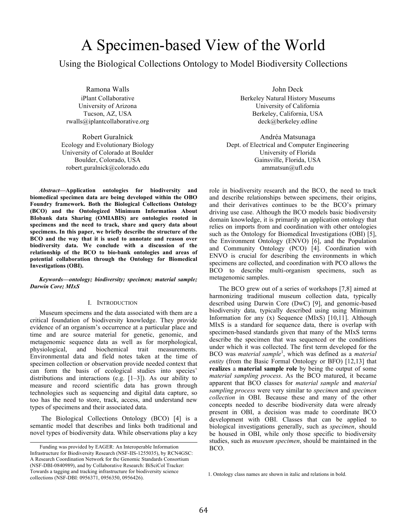# A Specimen-based View of the World

Using the Biological Collections Ontology to Model Biodiversity Collections

Ramona Walls iPlant Collaborative University of Arizona Tucson, AZ, USA rwalls@iplantcollaborative.org

Robert Guralnick Ecology and Evolutionary Biology University of Colorado at Boulder Boulder, Colorado, USA robert.guralnick@colorado.edu

*Abstract***—Application ontologies for biodiversity and biomedical specimen data are being developed within the OBO Foundry framework. Both the Biological Collections Ontology (BCO) and the Ontologized Minimum Information About BIobank data Sharing (OMIABIS) are ontologies rooted in specimens and the need to track, share and query data about specimens. In this paper, we briefly describe the structure of the BCO and the way that it is used to annotate and reason over biodiversity data. We conclude with a discussion of the relationship of the BCO to bio-bank ontologies and areas of potential collaboration through the Ontology for Biomedical Investigations (OBI).** 

*Keywords—ontology; biodiversity; specimen; material sample; Darwin Core; MIxS*

#### I. INTRODUCTION

Museum specimens and the data associated with them are a critical foundation of biodiversity knowledge. They provide evidence of an organism's occurrence at a particular place and time and are source material for genetic, genomic, and metagenomic sequence data as well as for morphological, physiological, and biochemical trait measurements. Environmental data and field notes taken at the time of specimen collection or observation provide needed context that can form the basis of ecological studies into species' distributions and interactions (e.g.  $[1-3]$ ). As our ability to measure and record scientific data has grown through technologies such as sequencing and digital data capture, so too has the need to store, track, access, and understand new types of specimens and their associated data.

The Biological Collections Ontology (BCO) [4] is a semantic model that describes and links both traditional and novel types of biodiversity data. While observations play a key

John Deck Berkeley Natural History Museums University of California Berkeley, California, USA deck@berkeley.edline

Andréa Matsunaga Dept. of Electrical and Computer Engineering University of Florida Gainsville, Florida, USA ammatsun@ufl.edu

role in biodiversity research and the BCO, the need to track and describe relationships between specimens, their origins, and their derivatives continues to be the BCO's primary driving use case. Although the BCO models basic biodiversity domain knowledge, it is primarily an application ontology that relies on imports from and coordination with other ontologies such as the Ontology for Biomedical Investigations (OBI) [5], the Environment Ontology (ENVO) [6], and the Population and Community Ontology (PCO) [4]. Coordination with ENVO is crucial for describing the environments in which specimens are collected, and coordination with PCO allows the BCO to describe multi-organism specimens, such as metagenomic samples.

The BCO grew out of a series of workshops [7,8] aimed at harmonizing traditional museum collection data, typically described using Darwin Core (DwC) [9], and genomic-based biodiversity data, typically described using using Minimum Information for any (x) Sequence (MIxS) [10,11]. Although MIxS is a standard for sequence data, there is overlap with specimen-based standards given that many of the MIxS terms describe the specimen that was sequenced or the conditions under which it was collected. The first term developed for the BCO was *material sample*<sup>1</sup> , which was defined as a *material entity* (from the Basic Formal Ontology or BFO) [12,13] that **realizes** a **material sample role** by being the output of some *material sampling process*. As the BCO matured, it became apparent that BCO classes for *material sample* and *material sampling process* were very similar to *specimen* and *specimen collection* in OBI. Because these and many of the other concepts needed to describe biodiversity data were already present in OBI, a decision was made to coordinate BCO development with OBI. Classes that can be applied to biological investigations generally, such as *specimen*, should be housed in OBI, while only those specific to biodiversity studies, such as *museum specimen*, should be maintained in the

Funding was provided by EAGER: An Interoperable Information BCO. Infrastructure for Biodiversity Research (NSF-IIS-1255035), by RCN4GSC: A Research Coordination Network for the Genomic Standards Consortium (NSF-DBI-0840989), and by Collaborative Research: BiSciCol Tracker: Towards a tagging and tracking infrastructure for biodiversity science

<sup>1.</sup> Ontology class names are shown in italic and relations in bold.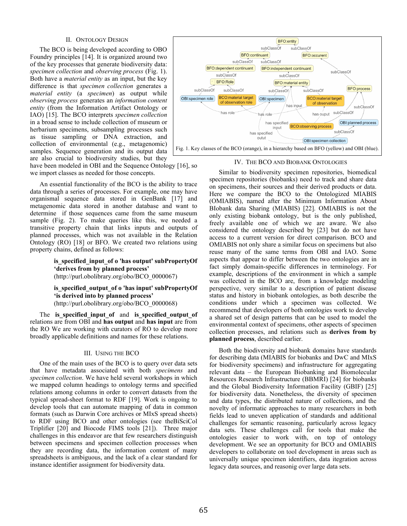## II. ONTOLOGY DESIGN

The BCO is being developed according to OBO Foundry principles [14]. It is organized around two of the key processes that generate biodiversity data: *specimen collection* and *observing process* (Fig. 1). Both have a *material entity* as an input, but the key difference is that *specimen collection* generates a *material entity* (a *specimen*) as output while *observing process* generates an *information content entity* (from the Information Artifact Ontology or IAO) [15]. The BCO interprets *specimen collection* in a broad sense to include collection of museum or herbarium specimens, subsampling processes such as tissue sampling or DNA extraction, and collection of environmental (e.g., metagenomic) samples. Sequence generation and its output data are also crucial to biodiversity studies, but they



have been modeled in OBI and the Sequence Ontology [16], so we import classes as needed for those concepts.

An essential functionality of the BCO is the ability to trace data through a series of processes. For example, one may have organismal sequence data stored in GenBank [17] and metagenomic data stored in another database and want to determine if those sequences came from the same museum sample (Fig. 2). To make queries like this, we needed a transitive property chain that links inputs and outputs of planned processes, which was not available in the Relation Ontology (RO) [18] or BFO. We created two relations using property chains, defined as follows:

> **is\_specified\_input\_of o 'has output' subPropertyOf 'derives from by planned process'**  (http://purl.obolibrary.org/obo/BCO\_0000067)

## **is\_specified\_output\_of o 'has input' subPropertyOf 'is derived into by planned process'**  (http://purl.obolibrary.org/obo/BCO\_0000068)

The **is specified input of** and **is specified output of** relations are from OBI and **has output** and **has input** are from the RO We are working with curators of RO to develop more broadly applicable definitions and names for these relations.

## III. USING THE BCO

One of the main uses of the BCO is to query over data sets that have metadata associated with both *specimens* and *specimen collection*. We have held several workshops in which we mapped column headings to ontology terms and specified relations among columns in order to convert datasets from the typical spread-sheet format to RDF [19]. Work is ongoing to develop tools that can automate mapping of data in common formats (such as Darwin Core archives or MIxS spread sheets) to RDF using BCO and other ontologies (see theBiSciCol Triplifier [20] and Biocode FIMS tools [21]). Three major challenges in this endeavor are that few researchers distinguish between specimens and specimen collection processes when they are recording data, the information content of many spreadsheets is ambiguous, and the lack of a clear standard for instance identifier assignment for biodiversity data.

## IV. THE BCO AND BIOBANK ONTOLOGIES

Similar to biodiversity specimen repositories, biomedical specimen repositories (biobanks) need to track and share data on specimens, their sources and their derived products or data. Here we compare the BCO to the Ontologized MIABIS (OMIABIS), named after the Minimum Information About BIobank data Sharing (MIABIS) [22]. OMIABIS is not the only existing biobank ontology, but is the only published, freely available one of which we are aware. We also considered the ontology described by [23] but do not have access to a current version for direct comparison. BCO and OMIABIS not only share a similar focus on specimens but also reuse many of the same terms from OBI and IAO. Some aspects that appear to differ between the two ontologies are in fact simply domain-specific differences in terminology. For example, descriptions of the environment in which a sample was collected in the BCO are, from a knowledge modeling perspective, very similar to a description of patient disease status and history in biobank ontologies, as both describe the conditions under which a specimen was collected. We recommend that developers of both ontologies work to develop a shared set of design patterns that can be used to model the environmental context of specimens, other aspects of specimen collection processes, and relations such as **derives from by planned process**, described earlier.

Both the biodiversity and biobank domains have standards for describing data (MIABIS for biobanks and DwC and MIxS for biodiversity specimens) and infrastructure for aggregating relevant data – the European Biobanking and Biomolecular Resources Research Infrastructure (BBMRI) [24] for biobanks and the Global Biodiversity Information Facility (GBIF) [25] for biodiversity data. Nonetheless, the diversity of specimen and data types, the distributed nature of collections, and the novelty of informatic approaches to many researchers in both fields lead to uneven application of standards and additional challenges for semantic reasoning, particularly across legacy data sets. These challenges call for tools that make the ontologies easier to work with, on top of ontology development. We see an opportunity for BCO and OMIABIS developers to collaborate on tool development in areas such as universally unique specimen identifiers, data itegration across legacy data sources, and reasonig over large data sets.